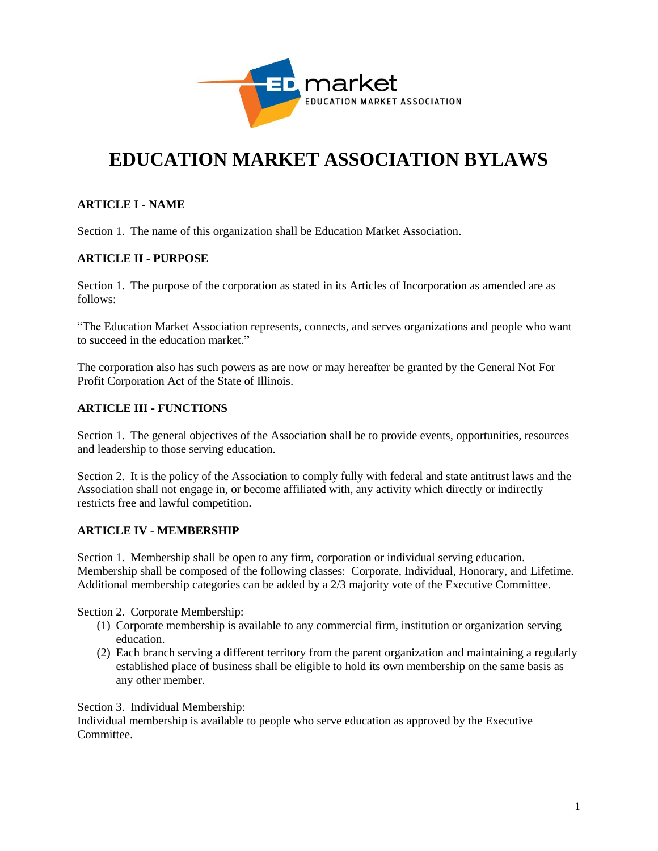

# **EDUCATION MARKET ASSOCIATION BYLAWS**

## **ARTICLE I - NAME**

Section 1. The name of this organization shall be Education Market Association.

#### **ARTICLE II - PURPOSE**

Section 1. The purpose of the corporation as stated in its Articles of Incorporation as amended are as follows:

"The Education Market Association represents, connects, and serves organizations and people who want to succeed in the education market."

The corporation also has such powers as are now or may hereafter be granted by the General Not For Profit Corporation Act of the State of Illinois.

## **ARTICLE III - FUNCTIONS**

Section 1. The general objectives of the Association shall be to provide events, opportunities, resources and leadership to those serving education.

Section 2. It is the policy of the Association to comply fully with federal and state antitrust laws and the Association shall not engage in, or become affiliated with, any activity which directly or indirectly restricts free and lawful competition.

#### **ARTICLE IV - MEMBERSHIP**

Section 1. Membership shall be open to any firm, corporation or individual serving education. Membership shall be composed of the following classes: Corporate, Individual, Honorary, and Lifetime. Additional membership categories can be added by a 2/3 majority vote of the Executive Committee.

Section 2. Corporate Membership:

- (1) Corporate membership is available to any commercial firm, institution or organization serving education.
- (2) Each branch serving a different territory from the parent organization and maintaining a regularly established place of business shall be eligible to hold its own membership on the same basis as any other member.

Section 3. Individual Membership:

Individual membership is available to people who serve education as approved by the Executive Committee.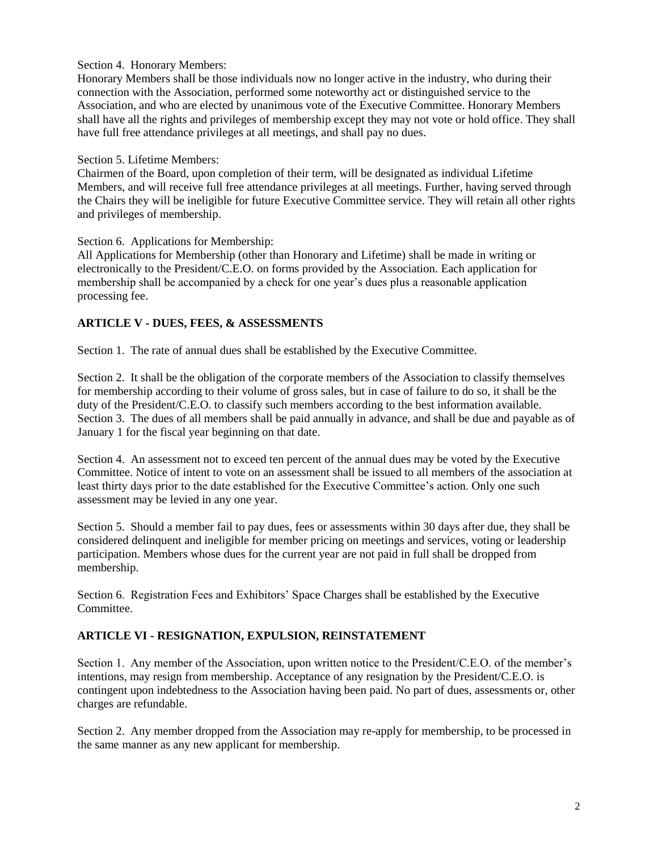#### Section 4. Honorary Members:

Honorary Members shall be those individuals now no longer active in the industry, who during their connection with the Association, performed some noteworthy act or distinguished service to the Association, and who are elected by unanimous vote of the Executive Committee. Honorary Members shall have all the rights and privileges of membership except they may not vote or hold office. They shall have full free attendance privileges at all meetings, and shall pay no dues.

#### Section 5. Lifetime Members:

Chairmen of the Board, upon completion of their term, will be designated as individual Lifetime Members, and will receive full free attendance privileges at all meetings. Further, having served through the Chairs they will be ineligible for future Executive Committee service. They will retain all other rights and privileges of membership.

Section 6. Applications for Membership:

All Applications for Membership (other than Honorary and Lifetime) shall be made in writing or electronically to the President/C.E.O. on forms provided by the Association. Each application for membership shall be accompanied by a check for one year's dues plus a reasonable application processing fee.

## **ARTICLE V - DUES, FEES, & ASSESSMENTS**

Section 1. The rate of annual dues shall be established by the Executive Committee.

Section 2. It shall be the obligation of the corporate members of the Association to classify themselves for membership according to their volume of gross sales, but in case of failure to do so, it shall be the duty of the President/C.E.O. to classify such members according to the best information available. Section 3. The dues of all members shall be paid annually in advance, and shall be due and payable as of January 1 for the fiscal year beginning on that date.

Section 4. An assessment not to exceed ten percent of the annual dues may be voted by the Executive Committee. Notice of intent to vote on an assessment shall be issued to all members of the association at least thirty days prior to the date established for the Executive Committee's action. Only one such assessment may be levied in any one year.

Section 5. Should a member fail to pay dues, fees or assessments within 30 days after due, they shall be considered delinquent and ineligible for member pricing on meetings and services, voting or leadership participation. Members whose dues for the current year are not paid in full shall be dropped from membership.

Section 6. Registration Fees and Exhibitors' Space Charges shall be established by the Executive Committee.

## **ARTICLE VI - RESIGNATION, EXPULSION, REINSTATEMENT**

Section 1. Any member of the Association, upon written notice to the President/C.E.O. of the member's intentions, may resign from membership. Acceptance of any resignation by the President/C.E.O. is contingent upon indebtedness to the Association having been paid. No part of dues, assessments or, other charges are refundable.

Section 2. Any member dropped from the Association may re-apply for membership, to be processed in the same manner as any new applicant for membership.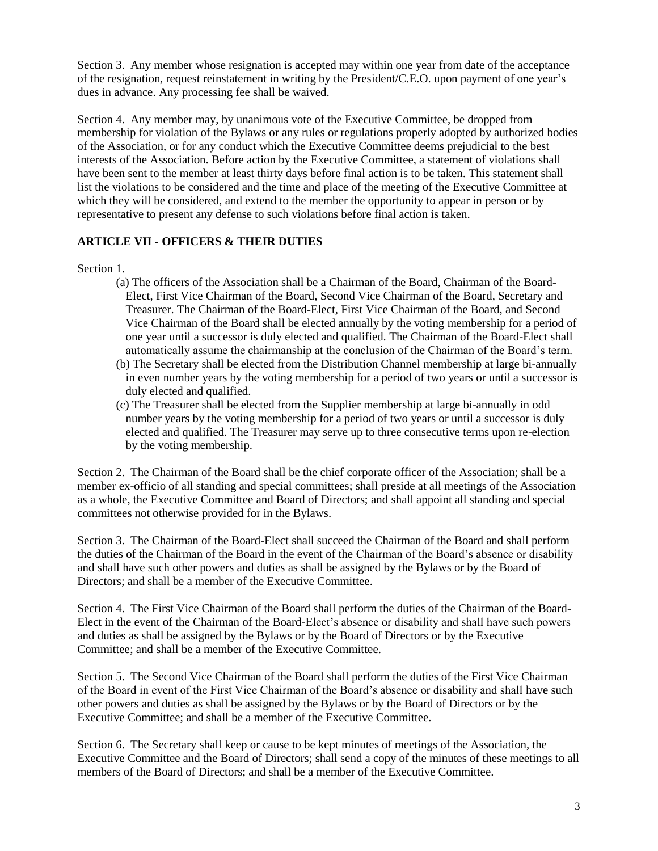Section 3. Any member whose resignation is accepted may within one year from date of the acceptance of the resignation, request reinstatement in writing by the President/C.E.O. upon payment of one year's dues in advance. Any processing fee shall be waived.

Section 4. Any member may, by unanimous vote of the Executive Committee, be dropped from membership for violation of the Bylaws or any rules or regulations properly adopted by authorized bodies of the Association, or for any conduct which the Executive Committee deems prejudicial to the best interests of the Association. Before action by the Executive Committee, a statement of violations shall have been sent to the member at least thirty days before final action is to be taken. This statement shall list the violations to be considered and the time and place of the meeting of the Executive Committee at which they will be considered, and extend to the member the opportunity to appear in person or by representative to present any defense to such violations before final action is taken.

## **ARTICLE VII - OFFICERS & THEIR DUTIES**

Section 1

- (a) The officers of the Association shall be a Chairman of the Board, Chairman of the Board-Elect, First Vice Chairman of the Board, Second Vice Chairman of the Board, Secretary and Treasurer. The Chairman of the Board-Elect, First Vice Chairman of the Board, and Second Vice Chairman of the Board shall be elected annually by the voting membership for a period of one year until a successor is duly elected and qualified. The Chairman of the Board-Elect shall automatically assume the chairmanship at the conclusion of the Chairman of the Board's term.
- (b) The Secretary shall be elected from the Distribution Channel membership at large bi-annually in even number years by the voting membership for a period of two years or until a successor is duly elected and qualified.
- (c) The Treasurer shall be elected from the Supplier membership at large bi-annually in odd number years by the voting membership for a period of two years or until a successor is duly elected and qualified. The Treasurer may serve up to three consecutive terms upon re-election by the voting membership.

Section 2. The Chairman of the Board shall be the chief corporate officer of the Association; shall be a member ex-officio of all standing and special committees; shall preside at all meetings of the Association as a whole, the Executive Committee and Board of Directors; and shall appoint all standing and special committees not otherwise provided for in the Bylaws.

Section 3. The Chairman of the Board-Elect shall succeed the Chairman of the Board and shall perform the duties of the Chairman of the Board in the event of the Chairman of the Board's absence or disability and shall have such other powers and duties as shall be assigned by the Bylaws or by the Board of Directors; and shall be a member of the Executive Committee.

Section 4. The First Vice Chairman of the Board shall perform the duties of the Chairman of the Board-Elect in the event of the Chairman of the Board-Elect's absence or disability and shall have such powers and duties as shall be assigned by the Bylaws or by the Board of Directors or by the Executive Committee; and shall be a member of the Executive Committee.

Section 5. The Second Vice Chairman of the Board shall perform the duties of the First Vice Chairman of the Board in event of the First Vice Chairman of the Board's absence or disability and shall have such other powers and duties as shall be assigned by the Bylaws or by the Board of Directors or by the Executive Committee; and shall be a member of the Executive Committee.

Section 6. The Secretary shall keep or cause to be kept minutes of meetings of the Association, the Executive Committee and the Board of Directors; shall send a copy of the minutes of these meetings to all members of the Board of Directors; and shall be a member of the Executive Committee.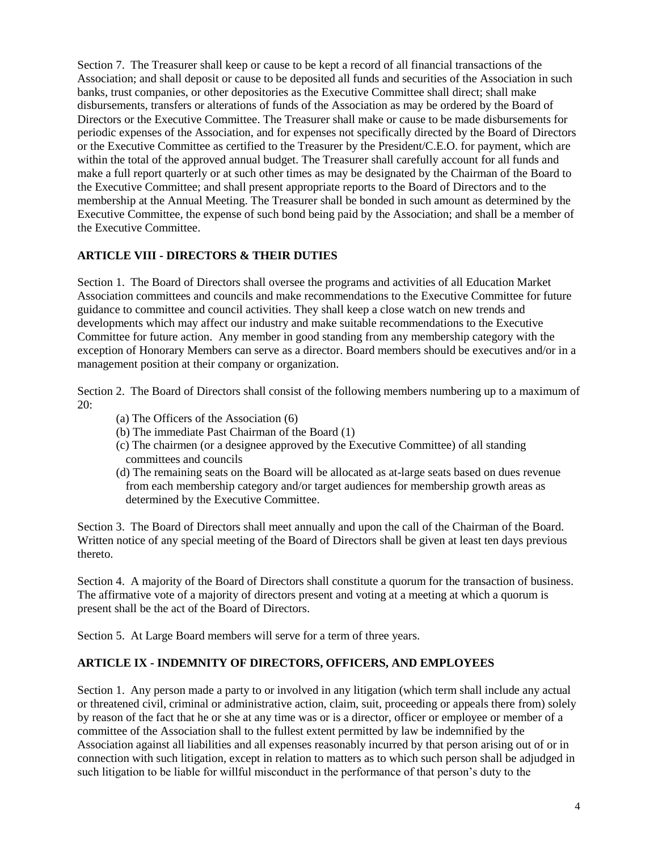Section 7. The Treasurer shall keep or cause to be kept a record of all financial transactions of the Association; and shall deposit or cause to be deposited all funds and securities of the Association in such banks, trust companies, or other depositories as the Executive Committee shall direct; shall make disbursements, transfers or alterations of funds of the Association as may be ordered by the Board of Directors or the Executive Committee. The Treasurer shall make or cause to be made disbursements for periodic expenses of the Association, and for expenses not specifically directed by the Board of Directors or the Executive Committee as certified to the Treasurer by the President/C.E.O. for payment, which are within the total of the approved annual budget. The Treasurer shall carefully account for all funds and make a full report quarterly or at such other times as may be designated by the Chairman of the Board to the Executive Committee; and shall present appropriate reports to the Board of Directors and to the membership at the Annual Meeting. The Treasurer shall be bonded in such amount as determined by the Executive Committee, the expense of such bond being paid by the Association; and shall be a member of the Executive Committee.

#### **ARTICLE VIII - DIRECTORS & THEIR DUTIES**

Section 1. The Board of Directors shall oversee the programs and activities of all Education Market Association committees and councils and make recommendations to the Executive Committee for future guidance to committee and council activities. They shall keep a close watch on new trends and developments which may affect our industry and make suitable recommendations to the Executive Committee for future action. Any member in good standing from any membership category with the exception of Honorary Members can serve as a director. Board members should be executives and/or in a management position at their company or organization.

Section 2. The Board of Directors shall consist of the following members numbering up to a maximum of 20:

- (a) The Officers of the Association (6)
- (b) The immediate Past Chairman of the Board (1)
- (c) The chairmen (or a designee approved by the Executive Committee) of all standing committees and councils
- (d) The remaining seats on the Board will be allocated as at-large seats based on dues revenue from each membership category and/or target audiences for membership growth areas as determined by the Executive Committee.

Section 3. The Board of Directors shall meet annually and upon the call of the Chairman of the Board. Written notice of any special meeting of the Board of Directors shall be given at least ten days previous thereto.

Section 4. A majority of the Board of Directors shall constitute a quorum for the transaction of business. The affirmative vote of a majority of directors present and voting at a meeting at which a quorum is present shall be the act of the Board of Directors.

Section 5. At Large Board members will serve for a term of three years.

#### **ARTICLE IX - INDEMNITY OF DIRECTORS, OFFICERS, AND EMPLOYEES**

Section 1. Any person made a party to or involved in any litigation (which term shall include any actual or threatened civil, criminal or administrative action, claim, suit, proceeding or appeals there from) solely by reason of the fact that he or she at any time was or is a director, officer or employee or member of a committee of the Association shall to the fullest extent permitted by law be indemnified by the Association against all liabilities and all expenses reasonably incurred by that person arising out of or in connection with such litigation, except in relation to matters as to which such person shall be adjudged in such litigation to be liable for willful misconduct in the performance of that person's duty to the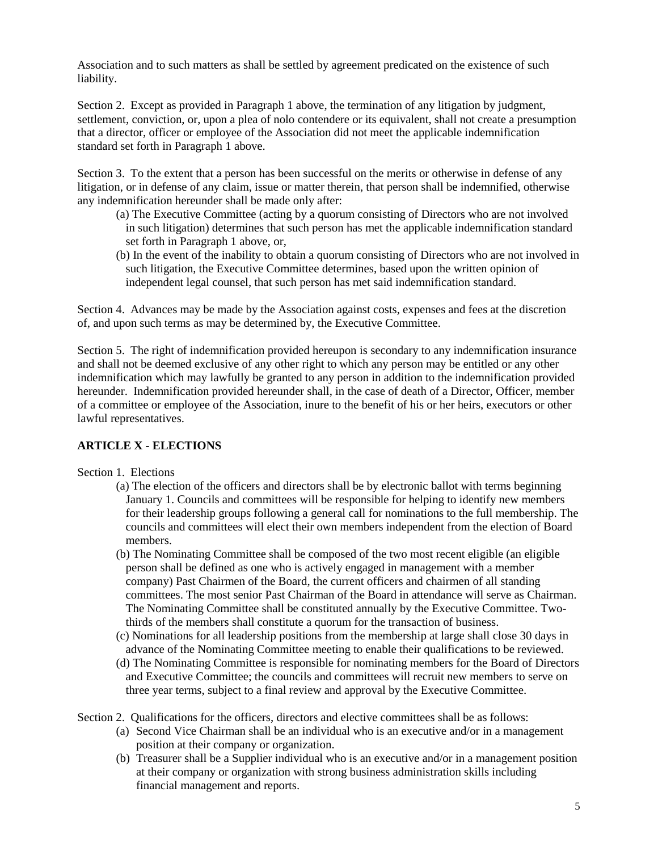Association and to such matters as shall be settled by agreement predicated on the existence of such liability.

Section 2. Except as provided in Paragraph 1 above, the termination of any litigation by judgment, settlement, conviction, or, upon a plea of nolo contendere or its equivalent, shall not create a presumption that a director, officer or employee of the Association did not meet the applicable indemnification standard set forth in Paragraph 1 above.

Section 3. To the extent that a person has been successful on the merits or otherwise in defense of any litigation, or in defense of any claim, issue or matter therein, that person shall be indemnified, otherwise any indemnification hereunder shall be made only after:

- (a) The Executive Committee (acting by a quorum consisting of Directors who are not involved in such litigation) determines that such person has met the applicable indemnification standard set forth in Paragraph 1 above, or,
- (b) In the event of the inability to obtain a quorum consisting of Directors who are not involved in such litigation, the Executive Committee determines, based upon the written opinion of independent legal counsel, that such person has met said indemnification standard.

Section 4. Advances may be made by the Association against costs, expenses and fees at the discretion of, and upon such terms as may be determined by, the Executive Committee.

Section 5. The right of indemnification provided hereupon is secondary to any indemnification insurance and shall not be deemed exclusive of any other right to which any person may be entitled or any other indemnification which may lawfully be granted to any person in addition to the indemnification provided hereunder. Indemnification provided hereunder shall, in the case of death of a Director, Officer, member of a committee or employee of the Association, inure to the benefit of his or her heirs, executors or other lawful representatives.

## **ARTICLE X - ELECTIONS**

#### Section 1. Elections

- (a) The election of the officers and directors shall be by electronic ballot with terms beginning January 1. Councils and committees will be responsible for helping to identify new members for their leadership groups following a general call for nominations to the full membership. The councils and committees will elect their own members independent from the election of Board members.
- (b) The Nominating Committee shall be composed of the two most recent eligible (an eligible person shall be defined as one who is actively engaged in management with a member company) Past Chairmen of the Board, the current officers and chairmen of all standing committees. The most senior Past Chairman of the Board in attendance will serve as Chairman. The Nominating Committee shall be constituted annually by the Executive Committee. Twothirds of the members shall constitute a quorum for the transaction of business.
- (c) Nominations for all leadership positions from the membership at large shall close 30 days in advance of the Nominating Committee meeting to enable their qualifications to be reviewed.
- (d) The Nominating Committee is responsible for nominating members for the Board of Directors and Executive Committee; the councils and committees will recruit new members to serve on three year terms, subject to a final review and approval by the Executive Committee.

Section 2. Qualifications for the officers, directors and elective committees shall be as follows:

- (a) Second Vice Chairman shall be an individual who is an executive and/or in a management position at their company or organization.
- (b) Treasurer shall be a Supplier individual who is an executive and/or in a management position at their company or organization with strong business administration skills including financial management and reports.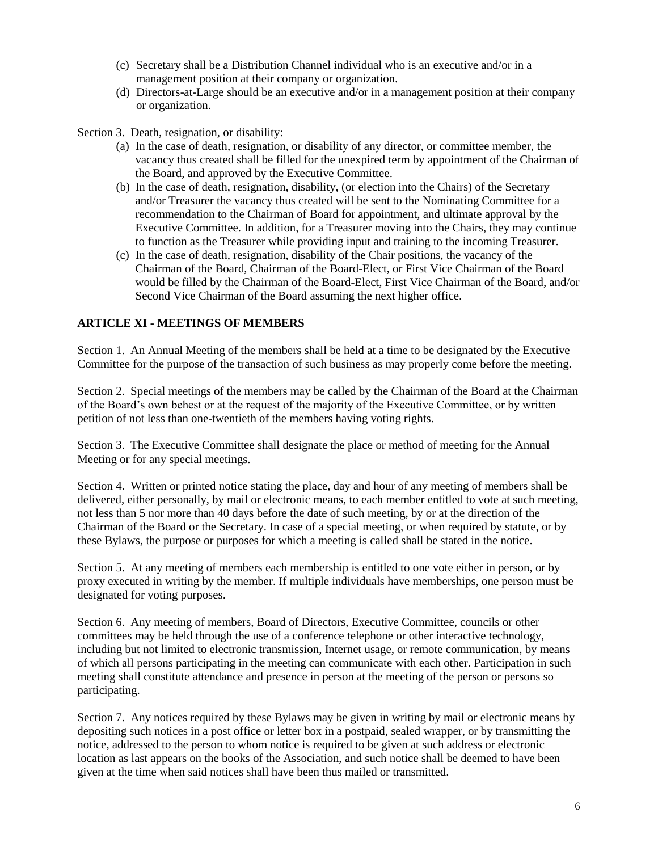- (c) Secretary shall be a Distribution Channel individual who is an executive and/or in a management position at their company or organization.
- (d) Directors-at-Large should be an executive and/or in a management position at their company or organization.

Section 3. Death, resignation, or disability:

- (a) In the case of death, resignation, or disability of any director, or committee member, the vacancy thus created shall be filled for the unexpired term by appointment of the Chairman of the Board, and approved by the Executive Committee.
- (b) In the case of death, resignation, disability, (or election into the Chairs) of the Secretary and/or Treasurer the vacancy thus created will be sent to the Nominating Committee for a recommendation to the Chairman of Board for appointment, and ultimate approval by the Executive Committee. In addition, for a Treasurer moving into the Chairs, they may continue to function as the Treasurer while providing input and training to the incoming Treasurer.
- (c) In the case of death, resignation, disability of the Chair positions, the vacancy of the Chairman of the Board, Chairman of the Board-Elect, or First Vice Chairman of the Board would be filled by the Chairman of the Board-Elect, First Vice Chairman of the Board, and/or Second Vice Chairman of the Board assuming the next higher office.

#### **ARTICLE XI - MEETINGS OF MEMBERS**

Section 1. An Annual Meeting of the members shall be held at a time to be designated by the Executive Committee for the purpose of the transaction of such business as may properly come before the meeting.

Section 2. Special meetings of the members may be called by the Chairman of the Board at the Chairman of the Board's own behest or at the request of the majority of the Executive Committee, or by written petition of not less than one-twentieth of the members having voting rights.

Section 3. The Executive Committee shall designate the place or method of meeting for the Annual Meeting or for any special meetings.

Section 4. Written or printed notice stating the place, day and hour of any meeting of members shall be delivered, either personally, by mail or electronic means, to each member entitled to vote at such meeting, not less than 5 nor more than 40 days before the date of such meeting, by or at the direction of the Chairman of the Board or the Secretary. In case of a special meeting, or when required by statute, or by these Bylaws, the purpose or purposes for which a meeting is called shall be stated in the notice.

Section 5. At any meeting of members each membership is entitled to one vote either in person, or by proxy executed in writing by the member. If multiple individuals have memberships, one person must be designated for voting purposes.

Section 6. Any meeting of members, Board of Directors, Executive Committee, councils or other committees may be held through the use of a conference telephone or other interactive technology, including but not limited to electronic transmission, Internet usage, or remote communication, by means of which all persons participating in the meeting can communicate with each other. Participation in such meeting shall constitute attendance and presence in person at the meeting of the person or persons so participating.

Section 7. Any notices required by these Bylaws may be given in writing by mail or electronic means by depositing such notices in a post office or letter box in a postpaid, sealed wrapper, or by transmitting the notice, addressed to the person to whom notice is required to be given at such address or electronic location as last appears on the books of the Association, and such notice shall be deemed to have been given at the time when said notices shall have been thus mailed or transmitted.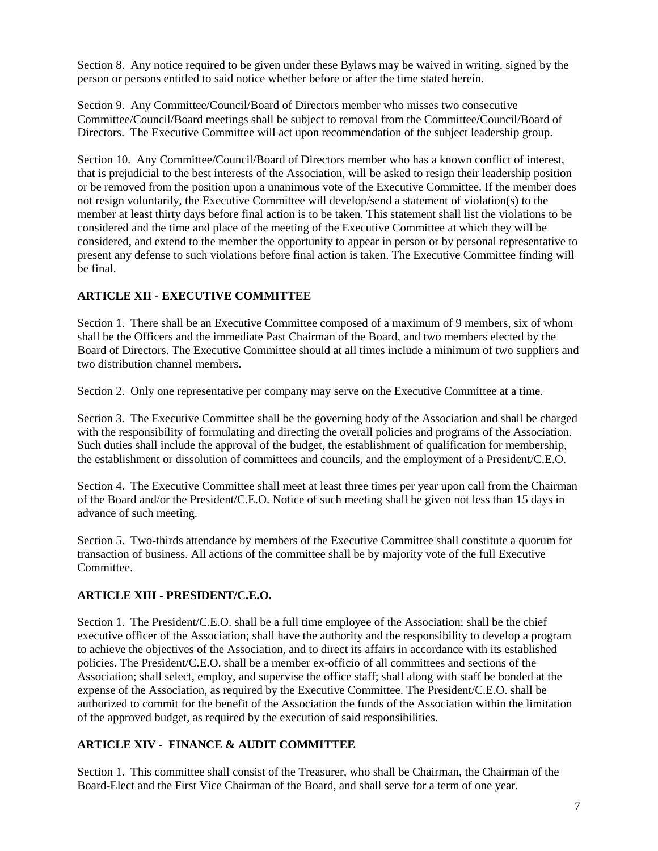Section 8. Any notice required to be given under these Bylaws may be waived in writing, signed by the person or persons entitled to said notice whether before or after the time stated herein.

Section 9. Any Committee/Council/Board of Directors member who misses two consecutive Committee/Council/Board meetings shall be subject to removal from the Committee/Council/Board of Directors. The Executive Committee will act upon recommendation of the subject leadership group.

Section 10. Any Committee/Council/Board of Directors member who has a known conflict of interest, that is prejudicial to the best interests of the Association, will be asked to resign their leadership position or be removed from the position upon a unanimous vote of the Executive Committee. If the member does not resign voluntarily, the Executive Committee will develop/send a statement of violation(s) to the member at least thirty days before final action is to be taken. This statement shall list the violations to be considered and the time and place of the meeting of the Executive Committee at which they will be considered, and extend to the member the opportunity to appear in person or by personal representative to present any defense to such violations before final action is taken. The Executive Committee finding will be final.

## **ARTICLE XII - EXECUTIVE COMMITTEE**

Section 1. There shall be an Executive Committee composed of a maximum of 9 members, six of whom shall be the Officers and the immediate Past Chairman of the Board, and two members elected by the Board of Directors. The Executive Committee should at all times include a minimum of two suppliers and two distribution channel members.

Section 2. Only one representative per company may serve on the Executive Committee at a time.

Section 3. The Executive Committee shall be the governing body of the Association and shall be charged with the responsibility of formulating and directing the overall policies and programs of the Association. Such duties shall include the approval of the budget, the establishment of qualification for membership, the establishment or dissolution of committees and councils, and the employment of a President/C.E.O.

Section 4. The Executive Committee shall meet at least three times per year upon call from the Chairman of the Board and/or the President/C.E.O. Notice of such meeting shall be given not less than 15 days in advance of such meeting.

Section 5. Two-thirds attendance by members of the Executive Committee shall constitute a quorum for transaction of business. All actions of the committee shall be by majority vote of the full Executive Committee.

## **ARTICLE XIII - PRESIDENT/C.E.O.**

Section 1. The President/C.E.O. shall be a full time employee of the Association; shall be the chief executive officer of the Association; shall have the authority and the responsibility to develop a program to achieve the objectives of the Association, and to direct its affairs in accordance with its established policies. The President/C.E.O. shall be a member ex-officio of all committees and sections of the Association; shall select, employ, and supervise the office staff; shall along with staff be bonded at the expense of the Association, as required by the Executive Committee. The President/C.E.O. shall be authorized to commit for the benefit of the Association the funds of the Association within the limitation of the approved budget, as required by the execution of said responsibilities.

## **ARTICLE XIV - FINANCE & AUDIT COMMITTEE**

Section 1. This committee shall consist of the Treasurer, who shall be Chairman, the Chairman of the Board-Elect and the First Vice Chairman of the Board, and shall serve for a term of one year.